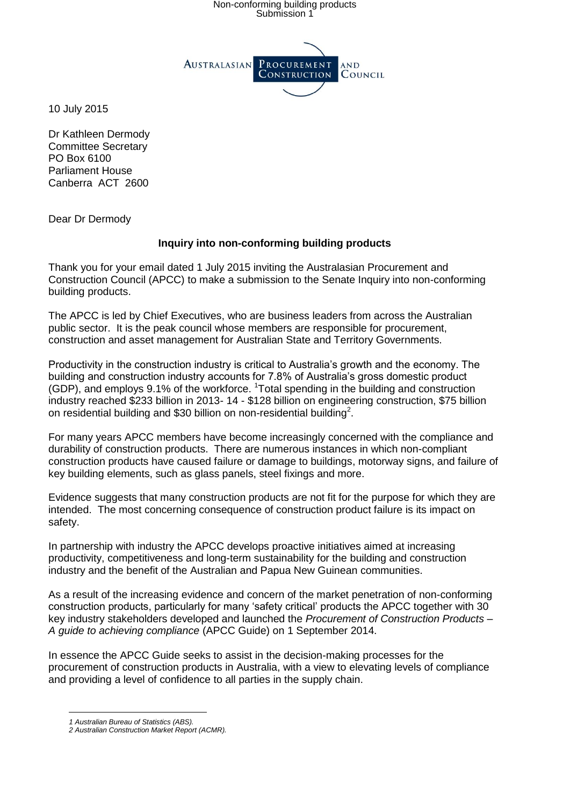## Non-conforming building products Submission 1



10 July 2015

Dr Kathleen Dermody Committee Secretary PO Box 6100 Parliament House Canberra ACT 2600

Dear Dr Dermody

## **Inquiry into non-conforming building products**

Thank you for your email dated 1 July 2015 inviting the Australasian Procurement and Construction Council (APCC) to make a submission to the Senate Inquiry into non-conforming building products.

The APCC is led by Chief Executives, who are business leaders from across the Australian public sector. It is the peak council whose members are responsible for procurement, construction and asset management for Australian State and Territory Governments.

Productivity in the construction industry is critical to Australia's growth and the economy. The building and construction industry accounts for 7.8% of Australia's gross domestic product (GDP), and employs 9.1% of the workforce. <sup>1</sup>Total spending in the building and construction industry reached \$233 billion in 2013- 14 - \$128 billion on engineering construction, \$75 billion on residential building and \$30 billion on non-residential building<sup>2</sup>.

For many years APCC members have become increasingly concerned with the compliance and durability of construction products. There are numerous instances in which non-compliant construction products have caused failure or damage to buildings, motorway signs, and failure of key building elements, such as glass panels, steel fixings and more.

Evidence suggests that many construction products are not fit for the purpose for which they are intended. The most concerning consequence of construction product failure is its impact on safety.

In partnership with industry the APCC develops proactive initiatives aimed at increasing productivity, competitiveness and long-term sustainability for the building and construction industry and the benefit of the Australian and Papua New Guinean communities.

As a result of the increasing evidence and concern of the market penetration of non-conforming construction products, particularly for many 'safety critical' products the APCC together with 30 key industry stakeholders developed and launched the *Procurement of Construction Products – A guide to achieving compliance* (APCC Guide) on 1 September 2014.

In essence the APCC Guide seeks to assist in the decision-making processes for the procurement of construction products in Australia, with a view to elevating levels of compliance and providing a level of confidence to all parties in the supply chain.

<sup>1</sup> *1 Australian Bureau of Statistics (ABS).* 

*<sup>2</sup> Australian Construction Market Report (ACMR).*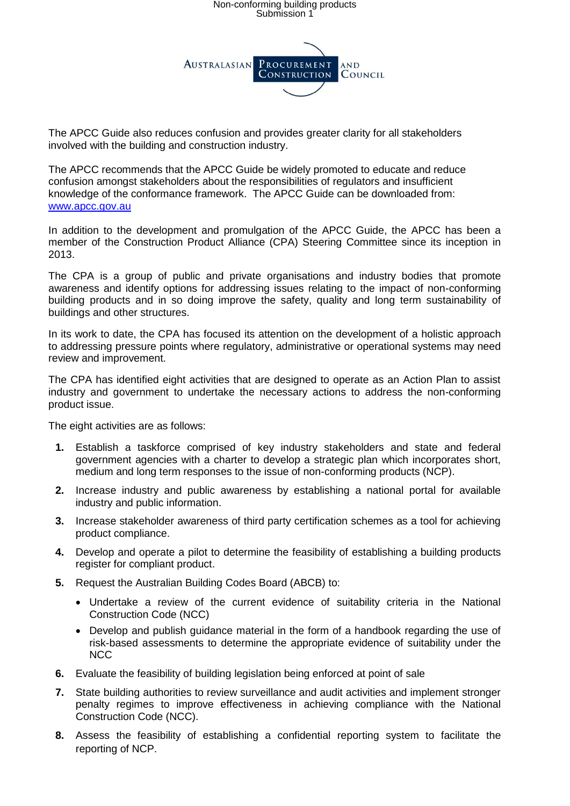## Non-conforming building products Submission 1



The APCC Guide also reduces confusion and provides greater clarity for all stakeholders involved with the building and construction industry.

The APCC recommends that the APCC Guide be widely promoted to educate and reduce confusion amongst stakeholders about the responsibilities of regulators and insufficient knowledge of the conformance framework. The APCC Guide can be downloaded from: [www.apcc.gov.au](http://www.apcc.gov.au/)

In addition to the development and promulgation of the APCC Guide, the APCC has been a member of the Construction Product Alliance (CPA) Steering Committee since its inception in 2013.

The CPA is a group of public and private organisations and industry bodies that promote awareness and identify options for addressing issues relating to the impact of non-conforming building products and in so doing improve the safety, quality and long term sustainability of buildings and other structures.

In its work to date, the CPA has focused its attention on the development of a holistic approach to addressing pressure points where regulatory, administrative or operational systems may need review and improvement.

The CPA has identified eight activities that are designed to operate as an Action Plan to assist industry and government to undertake the necessary actions to address the non-conforming product issue.

The eight activities are as follows:

- **1.** Establish a taskforce comprised of key industry stakeholders and state and federal government agencies with a charter to develop a strategic plan which incorporates short, medium and long term responses to the issue of non-conforming products (NCP).
- **2.** Increase industry and public awareness by establishing a national portal for available industry and public information.
- **3.** Increase stakeholder awareness of third party certification schemes as a tool for achieving product compliance.
- **4.** Develop and operate a pilot to determine the feasibility of establishing a building products register for compliant product.
- **5.** Request the Australian Building Codes Board (ABCB) to:
	- Undertake a review of the current evidence of suitability criteria in the National Construction Code (NCC)
	- Develop and publish guidance material in the form of a handbook regarding the use of risk-based assessments to determine the appropriate evidence of suitability under the NCC
- **6.** Evaluate the feasibility of building legislation being enforced at point of sale
- **7.** State building authorities to review surveillance and audit activities and implement stronger penalty regimes to improve effectiveness in achieving compliance with the National Construction Code (NCC).
- **8.** Assess the feasibility of establishing a confidential reporting system to facilitate the reporting of NCP.